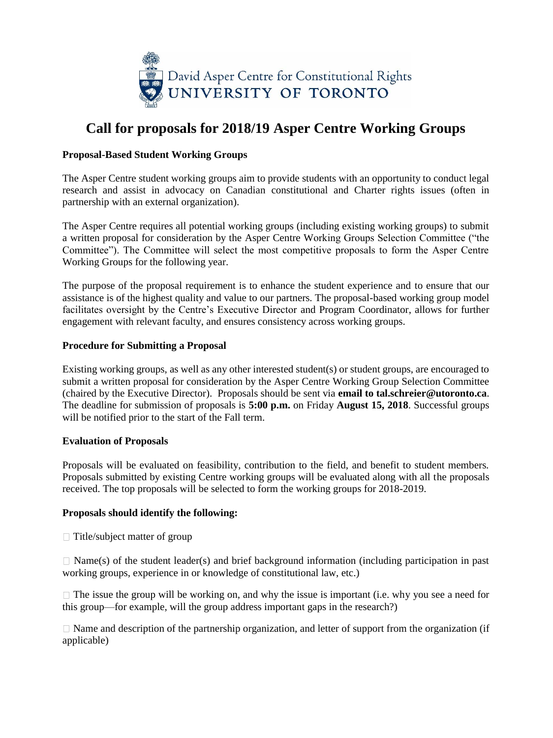

# **Call for proposals for 2018/19 Asper Centre Working Groups**

### **Proposal-Based Student Working Groups**

The Asper Centre student working groups aim to provide students with an opportunity to conduct legal research and assist in advocacy on Canadian constitutional and Charter rights issues (often in partnership with an external organization).

The Asper Centre requires all potential working groups (including existing working groups) to submit a written proposal for consideration by the Asper Centre Working Groups Selection Committee ("the Committee"). The Committee will select the most competitive proposals to form the Asper Centre Working Groups for the following year.

The purpose of the proposal requirement is to enhance the student experience and to ensure that our assistance is of the highest quality and value to our partners. The proposal-based working group model facilitates oversight by the Centre's Executive Director and Program Coordinator, allows for further engagement with relevant faculty, and ensures consistency across working groups.

#### **Procedure for Submitting a Proposal**

Existing working groups, as well as any other interested student(s) or student groups, are encouraged to submit a written proposal for consideration by the Asper Centre Working Group Selection Committee (chaired by the Executive Director). Proposals should be sent via **email to tal.schreier@utoronto.ca**. The deadline for submission of proposals is **5:00 p.m.** on Friday **August 15, 2018**. Successful groups will be notified prior to the start of the Fall term.

### **Evaluation of Proposals**

Proposals will be evaluated on feasibility, contribution to the field, and benefit to student members. Proposals submitted by existing Centre working groups will be evaluated along with all the proposals received. The top proposals will be selected to form the working groups for 2018-2019.

### **Proposals should identify the following:**

 $\Box$  Title/subject matter of group

 $\Box$  Name(s) of the student leader(s) and brief background information (including participation in past working groups, experience in or knowledge of constitutional law, etc.)

 $\Box$  The issue the group will be working on, and why the issue is important (i.e. why you see a need for this group—for example, will the group address important gaps in the research?)

 $\Box$  Name and description of the partnership organization, and letter of support from the organization (if applicable)